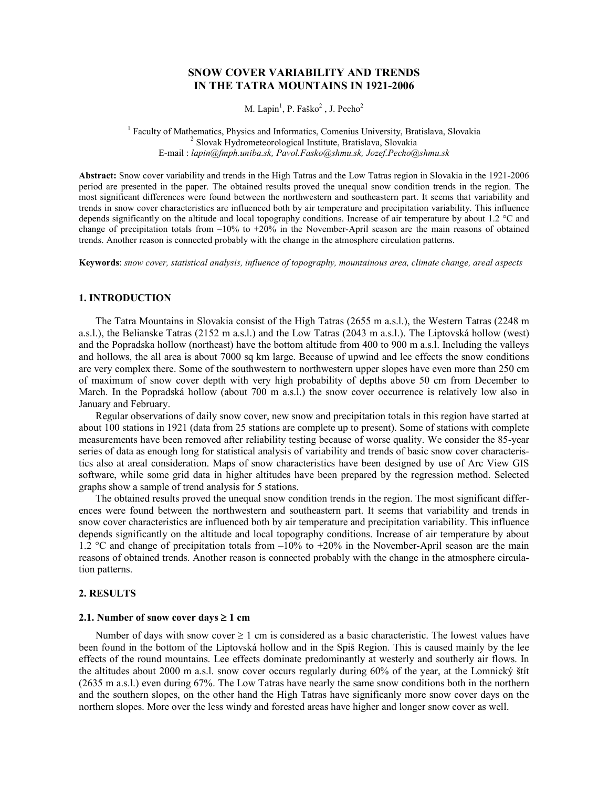# SNOW COVER VARIABILITY AND TRENDS IN THE TATRA MOUNTAINS IN 1921-2006

M. Lapin<sup>1</sup>, P. Faško<sup>2</sup>, J. Pecho<sup>2</sup>

<sup>1</sup> Faculty of Mathematics, Physics and Informatics, Comenius University, Bratislava, Slovakia 2 Slovak Hydrometeorological Institute, Bratislava, Slovakia E-mail : lapin@fmph.uniba.sk, Pavol.Fasko@shmu.sk, Jozef.Pecho@shmu.sk

Abstract: Snow cover variability and trends in the High Tatras and the Low Tatras region in Slovakia in the 1921-2006 period are presented in the paper. The obtained results proved the unequal snow condition trends in the region. The most significant differences were found between the northwestern and southeastern part. It seems that variability and trends in snow cover characteristics are influenced both by air temperature and precipitation variability. This influence depends significantly on the altitude and local topography conditions. Increase of air temperature by about 1.2 °C and change of precipitation totals from  $-10\%$  to  $+20\%$  in the November-April season are the main reasons of obtained trends. Another reason is connected probably with the change in the atmosphere circulation patterns.

Keywords: snow cover, statistical analysis, influence of topography, mountainous area, climate change, areal aspects

# 1. INTRODUCTION

The Tatra Mountains in Slovakia consist of the High Tatras (2655 m a.s.l.), the Western Tatras (2248 m a.s.l.), the Belianske Tatras (2152 m a.s.l.) and the Low Tatras (2043 m a.s.l.). The Liptovská hollow (west) and the Popradska hollow (northeast) have the bottom altitude from 400 to 900 m a.s.l. Including the valleys and hollows, the all area is about 7000 sq km large. Because of upwind and lee effects the snow conditions are very complex there. Some of the southwestern to northwestern upper slopes have even more than 250 cm of maximum of snow cover depth with very high probability of depths above 50 cm from December to March. In the Popradská hollow (about 700 m a.s.l.) the snow cover occurrence is relatively low also in January and February.

Regular observations of daily snow cover, new snow and precipitation totals in this region have started at about 100 stations in 1921 (data from 25 stations are complete up to present). Some of stations with complete measurements have been removed after reliability testing because of worse quality. We consider the 85-year series of data as enough long for statistical analysis of variability and trends of basic snow cover characteristics also at areal consideration. Maps of snow characteristics have been designed by use of Arc View GIS software, while some grid data in higher altitudes have been prepared by the regression method. Selected graphs show a sample of trend analysis for 5 stations.

The obtained results proved the unequal snow condition trends in the region. The most significant differences were found between the northwestern and southeastern part. It seems that variability and trends in snow cover characteristics are influenced both by air temperature and precipitation variability. This influence depends significantly on the altitude and local topography conditions. Increase of air temperature by about 1.2 °C and change of precipitation totals from –10% to +20% in the November-April season are the main reasons of obtained trends. Another reason is connected probably with the change in the atmosphere circulation patterns.

### 2. RESULTS

## 2.1. Number of snow cover days  $\geq 1$  cm

Number of days with snow cover  $\geq 1$  cm is considered as a basic characteristic. The lowest values have been found in the bottom of the Liptovská hollow and in the Spiš Region. This is caused mainly by the lee effects of the round mountains. Lee effects dominate predominantly at westerly and southerly air flows. In the altitudes about 2000 m a.s.l. snow cover occurs regularly during 60% of the year, at the Lomnický štít (2635 m a.s.l.) even during 67%. The Low Tatras have nearly the same snow conditions both in the northern and the southern slopes, on the other hand the High Tatras have significanly more snow cover days on the northern slopes. More over the less windy and forested areas have higher and longer snow cover as well.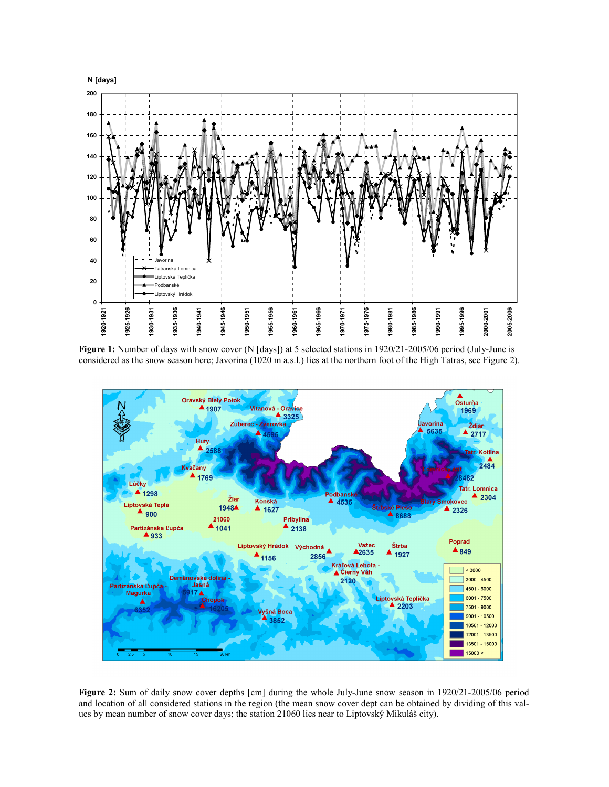

Figure 1: Number of days with snow cover (N [days]) at 5 selected stations in 1920/21-2005/06 period (July-June is considered as the snow season here; Javorina (1020 m a.s.l.) lies at the northern foot of the High Tatras, see Figure 2).



Figure 2: Sum of daily snow cover depths [cm] during the whole July-June snow season in 1920/21-2005/06 period and location of all considered stations in the region (the mean snow cover dept can be obtained by dividing of this values by mean number of snow cover days; the station 21060 lies near to Liptovský Mikuláš city).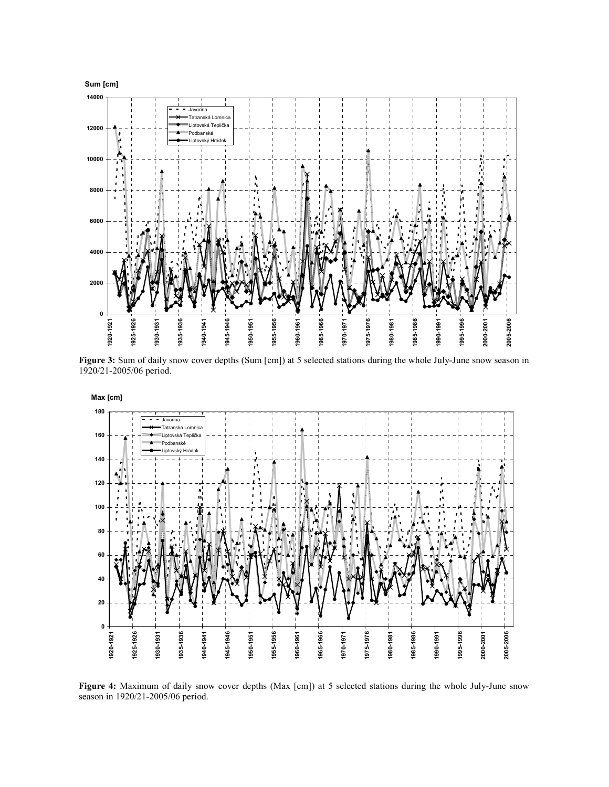

Figure 3: Sum of daily snow cover depths (Sum [cm]) at 5 selected stations during the whole July-June snow season in 1920/21-2005/06 period.



Figure 4: Maximum of daily snow cover depths (Max [cm]) at 5 selected stations during the whole July-June snow season in 1920/21-2005/06 period.